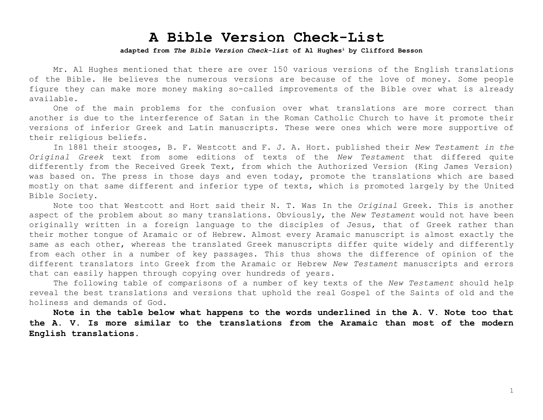## **A Bible Version Check-List**

## **adapted from** *The Bible Version Check-list* **of Al Hughes<sup>i</sup> by Clifford Besson**

Mr. Al Hughes mentioned that there are over 150 various versions of the English translations of the Bible. He believes the numerous versions are because of the love of money. Some people figure they can make more money making so-called improvements of the Bible over what is already available.

One of the main problems for the confusion over what translations are more correct than another is due to the interference of Satan in the Roman Catholic Church to have it promote their versions of inferior Greek and Latin manuscripts. These were ones which were more supportive of their religious beliefs.

In 1881 their stooges, B. F. Westcott and F. J. A. Hort. published their *New Testament in the Original Greek* text from some editions of texts of the *New Testament* that differed quite differently from the Received Greek Text, from which the Authorized Version (King James Version) was based on. The press in those days and even today, promote the translations which are based mostly on that same different and inferior type of texts, which is promoted largely by the United Bible Society.

Note too that Westcott and Hort said their N. T. Was In the *Original* Greek. This is another aspect of the problem about so many translations. Obviously, the *New Testament* would not have been originally written in a foreign language to the disciples of Jesus, that of Greek rather than their mother tongue of Aramaic or of Hebrew. Almost every Aramaic manuscript is almost exactly the same as each other, whereas the translated Greek manuscripts differ quite widely and differently from each other in a number of key passages. This thus shows the difference of opinion of the different translators into Greek from the Aramaic or Hebrew *New Testament* manuscripts and errors that can easily happen through copying over hundreds of years.

The following table of comparisons of a number of key texts of the *New Testament* should help reveal the best translations and versions that uphold the real Gospel of the Saints of old and the holiness and demands of God.

**Note in the table below what happens to the words underlined in the A. V. Note too that the A. V. Is more similar to the translations from the Aramaic than most of the modern English translations.**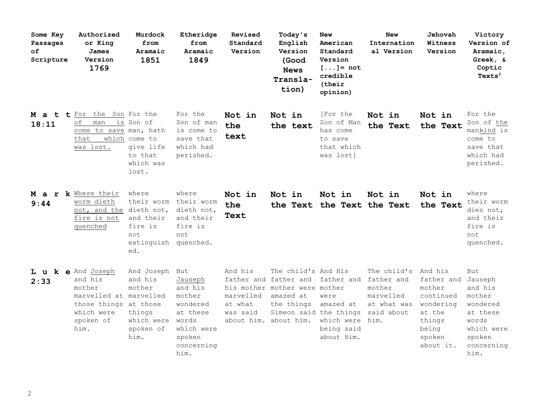| Some Key<br>Passages<br>оf<br>Scripture | Authorized<br>or King<br>James<br>Version<br>1769                                                                             | Murdock<br>from<br>Aramaic<br>1851                                                    | Etheridge<br>from<br>Aramaic<br>1849                                                                        | Revised<br>Standard<br>Version              | Today's<br>English<br>Version<br>(Good<br><b>News</b><br>Transla-<br>tion)                                                                                             | <b>New</b><br>American<br>Standard<br>Version<br>$[\ldots] = \text{not}$<br>credible<br>(their<br>opinion) | <b>New</b><br>Internation<br>al Version                                                       | Jehovah<br>Witness<br>Version                                                                              | Victory<br><b>Version of</b><br>Aramaic,<br>Greek, &<br>Coptic<br>Texts <sup>2</sup>                    |
|-----------------------------------------|-------------------------------------------------------------------------------------------------------------------------------|---------------------------------------------------------------------------------------|-------------------------------------------------------------------------------------------------------------|---------------------------------------------|------------------------------------------------------------------------------------------------------------------------------------------------------------------------|------------------------------------------------------------------------------------------------------------|-----------------------------------------------------------------------------------------------|------------------------------------------------------------------------------------------------------------|---------------------------------------------------------------------------------------------------------|
| M a t t For<br>18:11                    | the Son For the<br>οf<br>man<br>come to save man, hath<br>that<br>was lost.                                                   | is Son of<br>which come to<br>give life<br>to that<br>which was<br>lost.              | For the<br>Son of man<br>is come to<br>save that<br>which had<br>perished.                                  | Not in<br>the<br>text                       | Not in<br>the text                                                                                                                                                     | [For the<br>Son of Man<br>has come<br>to save<br>that which<br>was lost]                                   | Not in<br>the Text                                                                            | Not in<br>the Text                                                                                         | For the<br>Son of the<br>mankind is<br>come to<br>save that<br>which had<br>perished.                   |
| 9:44                                    | M a r k Where their<br>worm dieth<br>not, and the<br>fire is not<br>quenched                                                  | where<br>their worm<br>dieth not,<br>and their<br>fire is<br>not<br>extinguish<br>ed. | where<br>their worm<br>dieth not,<br>and their<br>fire is<br>not<br>quenched.                               | Not in<br>the<br>Text                       | Not in                                                                                                                                                                 | Not in<br>the Text the Text the Text                                                                       | Not in                                                                                        | Not in<br>the Text                                                                                         | where<br>their worm<br>dies not,<br>and their<br>fire is<br>not<br>quenched.                            |
| 2:33                                    | L u k e And Joseph<br>and his<br>mother<br>marvelled at marvelled<br>those things at those<br>which were<br>spoken of<br>him. | And Joseph But<br>and his<br>mother<br>things<br>which were<br>spoken of<br>him.      | Jauseph<br>and his<br>mother<br>wondered<br>at these<br>words<br>which were<br>spoken<br>concerning<br>him. | And his<br>marvelled<br>at what<br>was said | The child's And His<br>father and father and father and<br>his mother mother were mother<br>amazed at<br>the things<br>Simeon said the things<br>about him. about him. | were<br>amazed at<br>which were<br>being said<br>about Him.                                                | The child's And his<br>father and<br>mother<br>marvelled<br>at what was<br>said about<br>him. | father and Jauseph<br>mother<br>continued<br>wondering<br>at the<br>things<br>being<br>spoken<br>about it. | But<br>and his<br>mother<br>wondered<br>at these<br>words<br>which were<br>spoken<br>concerning<br>him. |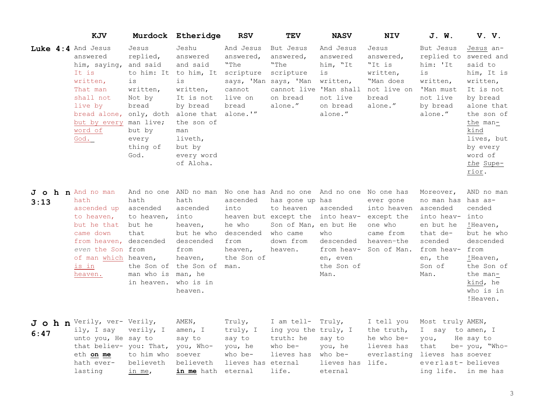|      | KJV                                                                                                                                                                  |                                                                                                                                      | Murdock Etheridge                                                                                                                                                                    | <b>RSV</b>                                                                            | <b>TEV</b>                                                                                                                                              | <b>NASV</b>                                                                                             | <b>NIV</b>                                                                                  | J. W.                                                                                                                                         | V. V.                                                                                                                                                                              |
|------|----------------------------------------------------------------------------------------------------------------------------------------------------------------------|--------------------------------------------------------------------------------------------------------------------------------------|--------------------------------------------------------------------------------------------------------------------------------------------------------------------------------------|---------------------------------------------------------------------------------------|---------------------------------------------------------------------------------------------------------------------------------------------------------|---------------------------------------------------------------------------------------------------------|---------------------------------------------------------------------------------------------|-----------------------------------------------------------------------------------------------------------------------------------------------|------------------------------------------------------------------------------------------------------------------------------------------------------------------------------------|
|      | Luke 4:4 And Jesus<br>answered<br>him, saying,<br>It is<br>written,<br>That man<br>shall not<br>live by<br>bread alone,<br>but by every<br>word of<br>God.           | Jesus<br>replied,<br>and said<br>is<br>written,<br>Not by<br>bread<br>only, doth<br>man live;<br>but by<br>every<br>thing of<br>God. | Jeshu<br>answered<br>and said<br>to him: It to him, It<br>is<br>written,<br>It is not<br>by bread<br>alone that<br>the son of<br>man<br>liveth,<br>but by<br>every word<br>of Aloha. | And Jesus<br>answered,<br>"The<br>scripture<br>cannot<br>live on<br>bread<br>alone.'" | But Jesus<br>answered,<br>"The<br>scripture<br>says, 'Man says, 'Man<br>cannot live 'Man shall<br>on bread<br>alone."                                   | And Jesus<br>answered<br>him, "It<br>is<br>written,<br>not live<br>on bread<br>alone."                  | Jesus<br>answered,<br>"It is<br>written,<br>"Man does<br>not live on<br>bread<br>alone."    | But Jesus<br>replied to swered and<br>him: 'It<br>is<br>written,<br>'Man must<br>not live<br>by bread<br>alone."                              | Jesus an-<br>said to<br>him, It is<br>written,<br>It is not<br>by bread<br>alone that<br>the son of<br>the man-<br>kind<br>lives, but<br>by every<br>word of<br>the Supe-<br>rior. |
| 3:13 | J o h n And no man<br>hath<br>ascended up<br>to heaven,<br>but he that<br>came down<br>from heaven,<br>even the Son from<br>of man which heaven,<br>is in<br>heaven. | hath<br>ascended<br>to heaven,<br>but he<br>that<br>descended<br>man who is<br>in heaven.                                            | And no one AND no man<br>hath<br>ascended<br>into<br>heaven,<br>but he who<br>descended<br>from<br>heaven,<br>the Son of the Son of<br>man, he<br>who is in<br>heaven.               | ascended<br>into<br>he who<br>descended<br>from<br>heaven,<br>the Son of<br>man.      | No one has And no one And no one No one has<br>has gone up has<br>to heaven<br>heaven but except the<br>Son of Man,<br>who came<br>down from<br>heaven. | ascended<br>into heav-<br>en but He<br>who<br>descended<br>from heav-<br>en, even<br>the Son of<br>Man. | ever gone<br>into heaven<br>except the<br>one who<br>came from<br>heaven-the<br>Son of Man. | Moreover,<br>no man has has as-<br>ascended<br>into heav-<br>en but he<br>that de-<br>scended<br>from heav- from<br>en, the<br>Son of<br>Man. | AND no man<br>cended<br>into<br>!Heaven,<br>but he who<br>descended<br>!Heaven,<br>the Son of<br>the man-<br>kind, he<br>who is in<br>!Heaven.                                     |
| 6:47 | J o h n Verily, ver- Verily,<br>ily, I say<br>unto you, He say to<br>that believ- you: That, you, Who-<br>eth on me<br>hath ever-<br>lasting                         | verily, I<br>to him who<br>believeth<br>in me,                                                                                       | AMEN,<br>amen, I<br>say to<br>soever<br>believeth<br>in me hath                                                                                                                      | Truly,<br>truly, I<br>say to<br>you, he<br>who be-<br>lieves has<br>eternal           | I am tell-<br>ing you the truly, I<br>truth: he<br>who be-<br>lieves has<br>eternal<br>life.                                                            | Truly,<br>say to<br>you, he<br>who be-<br>lieves has<br>eternal                                         | I tell you<br>the truth,<br>he who be-<br>lieves has<br>everlasting<br>life.                | Most truly AMEN,<br>I say to amen, I<br>you,<br>that<br>lieves has soever<br>everlast- believes<br>ing life.                                  | He say to<br>be- you, "Who-<br>in me has                                                                                                                                           |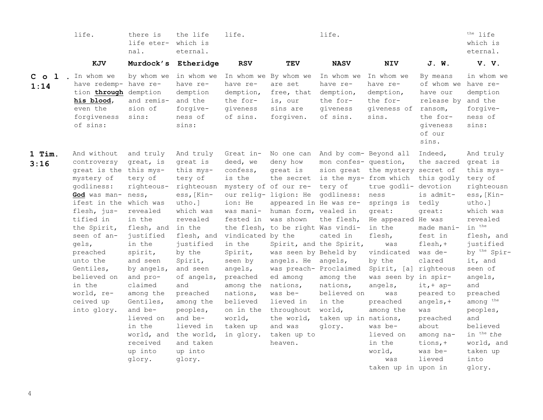|                   | life.                                                                                                                                                                                                                                                                                                       | there is<br>life eter-<br>nal.                                                                                                                                                                                                                                                    | the life<br>which is<br>eternal.                                                                                                                                                                                                                                                                                                           | life.                                                                                                                                                                                                                                             |                                                                                                                                                                                                                                                                                                                                              | life.                                                                                                                                                                                                                                  |                                                                                                                                                                                                                                                                                                                                                                                         |                                                                                                                                                                                                                                                  | $the$ life<br>which is<br>eternal.                                                                                                                                                                                                                                                                                                                |
|-------------------|-------------------------------------------------------------------------------------------------------------------------------------------------------------------------------------------------------------------------------------------------------------------------------------------------------------|-----------------------------------------------------------------------------------------------------------------------------------------------------------------------------------------------------------------------------------------------------------------------------------|--------------------------------------------------------------------------------------------------------------------------------------------------------------------------------------------------------------------------------------------------------------------------------------------------------------------------------------------|---------------------------------------------------------------------------------------------------------------------------------------------------------------------------------------------------------------------------------------------------|----------------------------------------------------------------------------------------------------------------------------------------------------------------------------------------------------------------------------------------------------------------------------------------------------------------------------------------------|----------------------------------------------------------------------------------------------------------------------------------------------------------------------------------------------------------------------------------------|-----------------------------------------------------------------------------------------------------------------------------------------------------------------------------------------------------------------------------------------------------------------------------------------------------------------------------------------------------------------------------------------|--------------------------------------------------------------------------------------------------------------------------------------------------------------------------------------------------------------------------------------------------|---------------------------------------------------------------------------------------------------------------------------------------------------------------------------------------------------------------------------------------------------------------------------------------------------------------------------------------------------|
|                   | KJV                                                                                                                                                                                                                                                                                                         |                                                                                                                                                                                                                                                                                   | Murdock's Etheridge                                                                                                                                                                                                                                                                                                                        | <b>RSV</b>                                                                                                                                                                                                                                        | TEV                                                                                                                                                                                                                                                                                                                                          | <b>NASV</b>                                                                                                                                                                                                                            | <b>NIV</b>                                                                                                                                                                                                                                                                                                                                                                              | J. W.                                                                                                                                                                                                                                            | V. V.                                                                                                                                                                                                                                                                                                                                             |
| $C$ o $1$<br>1:14 | . In whom we<br>have redemp- have re-<br>tion through demption<br>his blood,<br>even the<br>forgiveness<br>of sins:                                                                                                                                                                                         | by whom we<br>and remis-<br>sion of<br>sins:                                                                                                                                                                                                                                      | in whom we In whom we By whom we<br>have re-<br>demption<br>and the<br>forgive-<br>ness of<br>sins:                                                                                                                                                                                                                                        | have re-<br>demption,<br>the for-<br>giveness<br>of sins.                                                                                                                                                                                         | are set<br>free, that<br>is, our<br>sins are<br>forgiven.                                                                                                                                                                                                                                                                                    | In whom we<br>have re-<br>demption,<br>the for-<br>giveness<br>of sins.                                                                                                                                                                | In whom we<br>have re-<br>demption,<br>the for-<br>giveness of<br>sins.                                                                                                                                                                                                                                                                                                                 | By means<br>of whom we have re-<br>have our<br>release by and the<br>ransom,<br>the for-<br>qiveness<br>of our<br>sins.                                                                                                                          | in whom we<br>demption<br>forgive-<br>ness of<br>sins:                                                                                                                                                                                                                                                                                            |
| 1 Tim.<br>3:16    | And without<br>controversy<br>great is the this mys-<br>mystery of<br>qodliness:<br>God was man- ness,<br>ifest in the which was<br>flesh, jus-<br>tified in<br>the Spirit,<br>seen of an-<br>gels,<br>preached<br>unto the<br>Gentiles,<br>believed on<br>in the<br>world, re-<br>ceived up<br>into glory. | and truly<br>great, is<br>tery of<br>righteous-<br>revealed<br>in the<br>flesh, and<br>justified<br>in the<br>spirit,<br>and seen<br>by angels,<br>and pro-<br>claimed<br>among the<br>Gentiles,<br>and be-<br>lieved on<br>in the<br>world, and<br>received<br>up into<br>glory. | And truly<br>great is<br>this mys-<br>tery of<br>righteousn mystery of of our re-<br>ess, [Kin-<br>utho.]<br>which was<br>revealed<br>in the<br>flesh, and<br>justified<br>by the<br>Spirit,<br>and seen<br>of angels,<br>and<br>preached<br>among the<br>peoples,<br>and be-<br>lieved in<br>the world,<br>and taken<br>up into<br>glory. | Great in-<br>deed, we<br>confess,<br>is the<br>ion: He<br>was mani-<br>fested in<br>vindicated by the<br>in the<br>Spirit,<br>seen by<br>angels,<br>preached<br>among the<br>nations,<br>believed<br>on in the<br>world,<br>taken up<br>in glory. | deny how<br>great is<br>our relig- ligion: He<br>appeared in He was re-<br>human form, vealed in<br>was shown<br>the flesh, to be right Was vindi-<br>was seen by Beheld by<br>angels. He angels,<br>was preach- Proclaimed<br>ed among<br>nations,<br>was be-<br>lieved in<br>throughout<br>the world,<br>and was<br>taken up to<br>heaven. | No one can And by com- Beyond all<br>mon confes- question,<br>tery of<br>godliness:<br>the flesh,<br>cated in<br>Spirit, and the Spirit,<br>among the<br>nations,<br>believed on<br>in the<br>world,<br>taken up in nations,<br>glory. | sion great the mystery secret of<br>the secret is the mys- from which this godly<br>true godli- devotion<br>ness<br>springs is<br>great:<br>He appeared He was<br>in the<br>flesh,<br>was<br>vindicated<br>by the<br>Spirit, [a] righteous<br>was seen by in spir-<br>angels,<br>was<br>preached<br>among the<br>was be-<br>lieved on<br>in the<br>world,<br>was<br>taken up in upon in | Indeed,<br>the sacred<br>is admit-<br>tedly<br>great:<br>made mani-<br>fest in<br>$f \text{lesh, +}$<br>was de-<br>clared<br>$it, + ap-$<br>peared to<br>angels, $+$<br>was<br>preached<br>about<br>among na-<br>tions, $+$<br>was be-<br>lieved | And truly<br>great is<br>this mys-<br>tery of<br>righteousn<br>ess, [Kin-<br>utho.]<br>which was<br>revealed<br>in <sup>the</sup><br>flesh, and<br>justified<br>by the Spir-<br>it, and<br>seen of<br>angels,<br>and<br>preached<br>among the<br>peoples,<br>and<br>believed<br>in <sup>the</sup> the<br>world, and<br>taken up<br>into<br>glory. |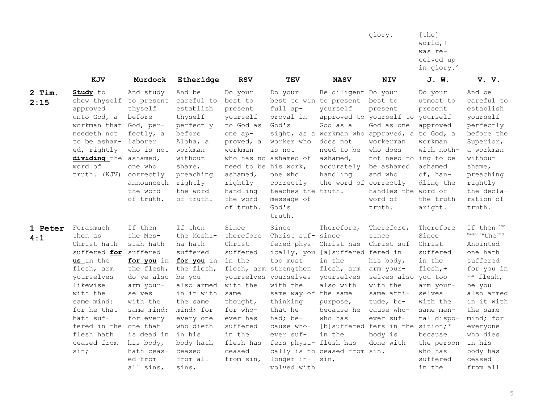|                  |                                                                                                                                                                                                                                       |                                                                                                                                                                                                    |                                                                                                                                                                                                                          |                                                                                                                                                                               |                                                                                                                                                                                                                                                                            |                                                                                                                                                                                           | glory.                                                                                                                                                                                                                    | [the]<br>world, +<br>was re-<br>ceived up<br>in glory.'                                                                                                                                |                                                                                                                                                                                                                                  |
|------------------|---------------------------------------------------------------------------------------------------------------------------------------------------------------------------------------------------------------------------------------|----------------------------------------------------------------------------------------------------------------------------------------------------------------------------------------------------|--------------------------------------------------------------------------------------------------------------------------------------------------------------------------------------------------------------------------|-------------------------------------------------------------------------------------------------------------------------------------------------------------------------------|----------------------------------------------------------------------------------------------------------------------------------------------------------------------------------------------------------------------------------------------------------------------------|-------------------------------------------------------------------------------------------------------------------------------------------------------------------------------------------|---------------------------------------------------------------------------------------------------------------------------------------------------------------------------------------------------------------------------|----------------------------------------------------------------------------------------------------------------------------------------------------------------------------------------|----------------------------------------------------------------------------------------------------------------------------------------------------------------------------------------------------------------------------------|
|                  | KJV                                                                                                                                                                                                                                   | Murdock                                                                                                                                                                                            | Etheridge                                                                                                                                                                                                                | <b>RSV</b>                                                                                                                                                                    | <b>TEV</b>                                                                                                                                                                                                                                                                 | <b>NASV</b>                                                                                                                                                                               | <b>NIV</b>                                                                                                                                                                                                                | J. W.                                                                                                                                                                                  | V.V.                                                                                                                                                                                                                             |
| $2$ Tim.<br>2:15 | Study to<br>shew thyself to present<br>approved<br>unto God, a<br>workman that<br>needeth not<br>to be asham-<br>ed, rightly<br>dividing the ashamed,<br>word of<br>truth. (KJV)                                                      | And study<br>thyself<br>before<br>God, per-<br>fectly, a<br>laborer<br>who is not<br>one who<br>correctly<br>announceth rightly<br>the word<br>of truth.                                           | And be<br>careful to<br>establish<br>thyself<br>perfectly<br>before<br>Aloha, a<br>workman<br>without<br>shame,<br>preaching<br>the word<br>of truth.                                                                    | Do your<br>best to<br>present<br>yourself<br>to God as<br>one ap-<br>proved, a<br>workman<br>need to be his work,<br>ashamed,<br>rightly<br>handling<br>the word<br>of truth. | Do your<br>best to win to present<br>full ap-<br>proval in<br>God's<br>worker who<br>is not<br>who has no ashamed of<br>one who<br>correctly<br>teaches the truth.<br>message of<br>God's<br>truth.                                                                        | Be diligent Do your<br>yourself<br>God as a<br>sight, as a workman who approved, a to God, a<br>does not<br>need to be<br>ashamed,<br>handling<br>the word of correctly                   | best to<br>present<br>approved to yourself to yourself<br>God as one<br>workerman<br>who does<br>not need to ing to be<br>accurately be ashamed<br>and who<br>handles the word of<br>word of<br>truth.                    | Do your<br>utmost to<br>present<br>approved<br>workman<br>with noth-<br>ashamed<br>of, han-<br>dling the<br>the truth<br>aright.                                                       | And be<br>careful to<br>establish<br>yourself<br>perfectly<br>before the<br>Superior,<br>a workman<br>without<br>shame,<br>preaching<br>rightly<br>the decla-<br>ration of<br>truth.                                             |
| 1 Peter<br>4:1   | Forasmuch<br>then as<br>Christ hath<br>suffered for suffered<br>us in the<br>flesh, arm<br>yourselves<br>likewise<br>with the<br>same mind:<br>for he that<br>hath suf-<br>fered in the one that<br>flesh hath<br>ceased from<br>sin; | If then<br>the Mes-<br>siah hath<br>the flesh,<br>do ye also<br>arm your-<br>selves<br>with the<br>same mind:<br>for every<br>is dead in in his<br>his body,<br>hath ceas-<br>ed from<br>all sins, | If then<br>the Meshi-<br>ha hath<br>suffered<br>for you in for you in<br>the flesh,<br>be you<br>also armed<br>in it with<br>the same<br>mind; for<br>every one<br>who dieth<br>body hath<br>ceased<br>from all<br>sins, | Since<br>therefore<br>Christ<br>suffered<br>in the<br>with the<br>same<br>thought,<br>for who-<br>ever has<br>suffered<br>in the<br>flesh has<br>ceased<br>from sin,          | Since<br>Christ suf- since<br>fered phys- Christ has<br>too must<br>flesh, arm strengthen<br>yourselves yourselves<br>with the<br>same way of the same<br>thinking<br>that he<br>had; be-<br>cause who-<br>ever suf-<br>fers physi- flesh has<br>longer in-<br>volved with | Therefore,<br>ically, you [a] suffered fered in<br>in the<br>flesh, arm<br>yourselves<br>also with<br>purpose,<br>because he<br>who has<br>in the<br>cally is no ceased from sin.<br>sin, | Therefore,<br>since<br>Christ suf- Christ<br>his body,<br>arm your-<br>selves also you too<br>with the<br>same atti-<br>tude, be-<br>cause who-<br>ever suf-<br>[b] suffered fers in the sition;*<br>body is<br>done with | Therefore<br>Since<br>suffered<br>in the<br>$f \text{lesh}, +$<br>arm your-<br>selves<br>with the<br>same men-<br>tal dispo-<br>because<br>the person<br>who has<br>suffered<br>in the | If then the<br>Meshihathecnd<br>Anointed-<br>one hath<br>suffered<br>for you in<br>the flesh,<br>be you<br>also armed<br>in it with<br>the same<br>mind; for<br>everyone<br>who dies<br>in his<br>body has<br>ceased<br>from all |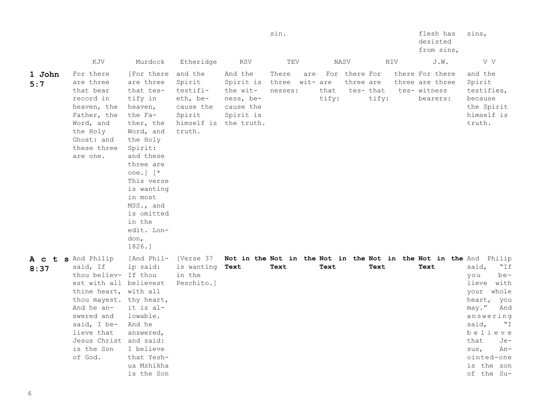|               |                                                                                                                                                                                                                                                  |                                                                                                                                                                                                                                                                               |                                                                                                     |                                                                         | sin.                               |     |               |                            |                    |     | flesh has<br>desisted<br>from sins,                            | sins,                                                                                                                                                                                                                                                                           |
|---------------|--------------------------------------------------------------------------------------------------------------------------------------------------------------------------------------------------------------------------------------------------|-------------------------------------------------------------------------------------------------------------------------------------------------------------------------------------------------------------------------------------------------------------------------------|-----------------------------------------------------------------------------------------------------|-------------------------------------------------------------------------|------------------------------------|-----|---------------|----------------------------|--------------------|-----|----------------------------------------------------------------|---------------------------------------------------------------------------------------------------------------------------------------------------------------------------------------------------------------------------------------------------------------------------------|
|               | KJV                                                                                                                                                                                                                                              | Murdock                                                                                                                                                                                                                                                                       | Etheridge                                                                                           | RSV                                                                     | TEV                                |     |               | NASV                       |                    | NIV | J.W.                                                           | V V                                                                                                                                                                                                                                                                             |
| 1 John<br>5:7 | For there<br>are three<br>that bear<br>record in<br>heaven, the<br>Father, the<br>Word, and<br>the Holy<br>Ghost: and<br>these three<br>are one.                                                                                                 | [For there<br>are three<br>that tes-<br>tify in<br>heaven,<br>the Fa-<br>ther, the<br>Word, and<br>the Holy<br>Spirit:<br>and these<br>three are<br>one.] $[$ $*$<br>This verse<br>is wanting<br>in most<br>MSS., and<br>is omitted<br>in the<br>edit. Lon-<br>don,<br>1826.] | and the<br>Spirit<br>testifi-<br>eth, be-<br>cause the<br>Spirit<br>himself is the truth.<br>truth. | And the<br>Spirit is<br>the wit-<br>ness, be-<br>cause the<br>Spirit is | There<br>three wit- are<br>nesses: | are | that<br>tify: | For there For<br>three are | tes- that<br>tify: |     | there For there<br>three are three<br>tes- witness<br>bearers: | and the<br>Spirit<br>testifies,<br>because<br>the Spirit<br>himself is<br>truth.                                                                                                                                                                                                |
| 8:37          | A c t s And Philip<br>said, If<br>thou believ- If thou<br>est with all believest<br>thine heart, with all<br>thou mayest. thy heart,<br>And he an-<br>swered and<br>said, I be-<br>lieve that<br>Jesus Christ and said:<br>is the Son<br>of God. | [And Phil-<br>ip said:<br>it is al-<br>lowable.<br>And he<br>answered,<br>I believe<br>that Yesh-<br>ua Mshikha<br>is the Son                                                                                                                                                 | [Verse 37<br>is wanting<br>in the<br>Peschito.]                                                     | Text                                                                    | Text                               |     | Text          |                            | Text               |     | Text                                                           | Not in the Not in the Not in the Not in the Not in the And Philip<br>"If<br>said,<br>be-<br>you<br>lieve with<br>your<br>whole<br>heart,<br>you<br>may."<br>And<br>answering<br>said,<br>"I"<br>believe<br>that<br>Je-<br>sus,<br>An-<br>ointed-one<br>is the son<br>of the Su- |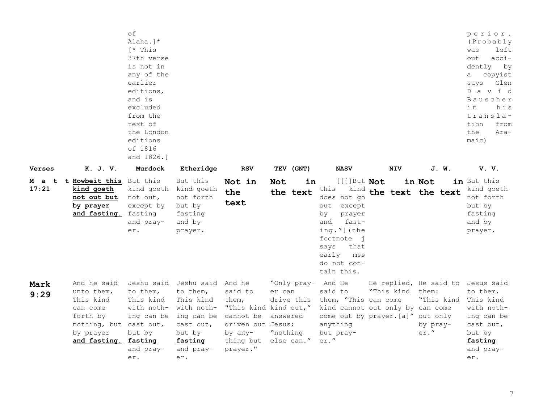|                               |                                                                                                                               | оf<br>Alaha.]*<br>[* This<br>37th verse<br>is not in<br>any of the<br>earlier<br>editions,<br>and is<br>excluded<br>from the<br>text of<br>the London<br>editions<br>of 1816<br>and 1826.] |                                                                                                                           |                                                                                    |                                                                                           |                                                                                                                                                                                                  |                                                       |                                                                        | perior.<br>(Probably<br>left<br>was<br>$acci-$<br>out<br>dently by<br>copyist<br>a<br>Glen<br>says<br>D a v i d<br>Bauscher<br>i n<br>his<br>transla-<br>tion<br>from<br>the<br>Ara-<br>maic) |
|-------------------------------|-------------------------------------------------------------------------------------------------------------------------------|--------------------------------------------------------------------------------------------------------------------------------------------------------------------------------------------|---------------------------------------------------------------------------------------------------------------------------|------------------------------------------------------------------------------------|-------------------------------------------------------------------------------------------|--------------------------------------------------------------------------------------------------------------------------------------------------------------------------------------------------|-------------------------------------------------------|------------------------------------------------------------------------|-----------------------------------------------------------------------------------------------------------------------------------------------------------------------------------------------|
| Verses<br><b>Mat</b><br>17:21 | K. J. V.<br>t Howbeit this But this<br>kind goeth<br>not out but<br>by prayer<br>and fasting. fasting                         | Murdock<br>kind goeth kind goeth<br>not out,<br>except by<br>and pray-<br>er.                                                                                                              | Etheridge<br>But this<br>not forth<br>but by<br>fasting<br>and by<br>prayer.                                              | <b>RSV</b><br>Not in<br>the<br>text                                                | TEV (GNT)<br>Not<br>in<br>the text                                                        | <b>NASV</b><br>[[j]But Not<br>this<br>kind<br>does not go<br>out except<br>by<br>prayer<br>fast-<br>and<br>ing."](the<br>footnote j<br>says<br>that<br>early<br>mss<br>do not con-<br>tain this. | <b>NIV</b><br>the text the text                       | J. W.<br>in Not                                                        | V.V.<br>in But this<br>kind goeth<br>not forth<br>but by<br>fasting<br>and by<br>prayer.                                                                                                      |
| Mark<br>9:29                  | And he said<br>unto them,<br>This kind<br>can come<br>forth by<br>nothing, but cast out,<br>by prayer<br>and fasting. fasting | to them,<br>This kind<br>with noth- with noth-<br>ing can be<br>but by<br>and pray-<br>er.                                                                                                 | Jeshu said Jeshu said And he<br>to them,<br>This kind<br>ing can be<br>cast out,<br>but by<br>fasting<br>and pray-<br>er. | said to<br>them,<br>cannot be answered<br>driven out Jesus;<br>by any-<br>prayer." | "Only pray- And He<br>er can<br>"This kind kind out,"<br>"nothing<br>thing but else can." | said to<br>drive this them, "This can come<br>kind cannot out only by can come<br>anything<br>but pray-<br>er."                                                                                  | "This kind them:<br>come out by prayer. [a]" out only | He replied, He said to Jesus said<br>"This kind<br>by pray-<br>$er.$ " | to them,<br>This kind<br>with noth-<br>ing can be<br>cast out,<br>but by<br>fasting<br>and pray-<br>er.                                                                                       |

7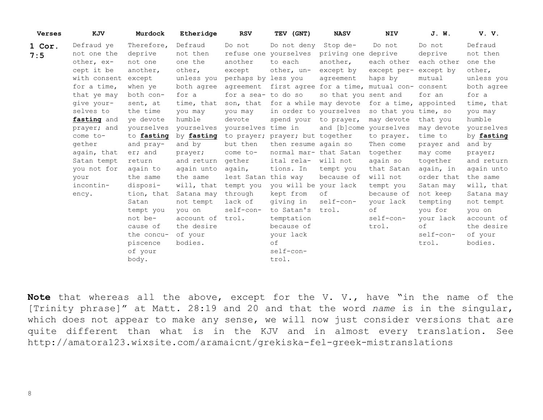| <b>Verses</b> | KJV          | Murdock    | Etheridge  | <b>RSV</b>          | TEV (GNT)                                             | <b>NASV</b>            | <b>NIV</b>            | J. W.      | V.V.       |
|---------------|--------------|------------|------------|---------------------|-------------------------------------------------------|------------------------|-----------------------|------------|------------|
| 1 Cor.        | Defraud ye   | Therefore, | Defraud    | Do not              | Do not deny                                           | Stop de-               | Do not                | Do not     | Defraud    |
| 7:5           | not one the  | deprive    | not then   |                     | refuse one yourselves                                 | priving one deprive    |                       | deprive    | not then   |
|               | other, ex-   | not one    | one the    | another             | to each                                               | another,               | each other            | each other | one the    |
|               | cept it be   | another,   | other,     | except              | other, un-                                            | except by              | except per- except by |            | other,     |
|               | with consent | except     | unless you | perhaps by less you |                                                       | agreement              | haps by               | mutual     | unless you |
|               | for a time,  | when ye    | both agree |                     | agreement first agree for a time, mutual con- consent |                        |                       |            | both agree |
|               | that ye may  | both con-  | for a      | for a sea- to do so |                                                       | so that you sent and   |                       | for an     | for a      |
|               | qive your-   | sent, at   | time, that | son, that           | for a while may devote                                |                        | for a time,           | appointed  | time, that |
|               | selves to    | the time   | you may    | you may             | in order to yourselves                                |                        | so that you time, so  |            | you may    |
|               | fasting and  | ye devote  | humble     | devote              | spend your to prayer,                                 |                        | may devote            | that you   | humble     |
|               | prayer; and  | yourselves | yourselves | yourselves time in  |                                                       | and [b]come yourselves |                       | may devote | yourselves |
|               | come to-     | to fasting | by fasting |                     | to prayer; prayer; but together                       |                        | to prayer.            | time to    | by fasting |
|               | gether       | and pray-  | and by     | but then            | then resume again so                                  |                        | Then come             | prayer and | and by     |
|               | again, that  | er; and    | prayer;    | come to-            | normal mar- that Satan                                |                        | together              | may come   | prayer;    |
|               | Satan tempt  | return     | and return | gether              | ital rela-                                            | will not               | again so              | together   | and return |
|               | you not for  | again to   | again unto | aqain,              | tions. In                                             | tempt you              | that Satan            | again, in  | again unto |
|               | your         | the same   | the same   | lest Satan          | this way                                              | because of             | will not              | order that | the same   |
|               | incontin-    | disposi-   | will, that | tempt you           | you will be your lack                                 |                        | tempt you             | Satan may  | will, that |
|               | ency.        | tion, that | Satana may | through             | kept from                                             | οf                     | because of            | not keep   | Satana may |
|               |              | Satan      | not tempt  | lack of             | giving in                                             | self-con-              | your lack             | tempting   | not tempt  |
|               |              | tempt you  | you on     | self-con-           | to Satan's                                            | trol.                  | of                    | you for    | you on     |
|               |              | not be-    | account of | trol.               | temptation                                            |                        | self-con-             | your lack  | account of |
|               |              | cause of   | the desire |                     | because of                                            |                        | trol.                 | of         | the desire |
|               |              | the concu- | of your    |                     | your lack                                             |                        |                       | self-con-  | of your    |
|               |              | piscence   | bodies.    |                     | οf                                                    |                        |                       | trol.      | bodies.    |
|               |              | of your    |            |                     | self-con-                                             |                        |                       |            |            |
|               |              | body.      |            |                     | trol.                                                 |                        |                       |            |            |

**Note** that whereas all the above, except for the V. V., have "in the name of the [Trinity phrase]" at Matt. 28:19 and 20 and that the word *name* is in the singular, which does not appear to make any sense, we will now just consider versions that are quite different than what is in the KJV and in almost every translation. See http://amatora123.wixsite.com/aramaicnt/grekiska-fel-greek-mistranslations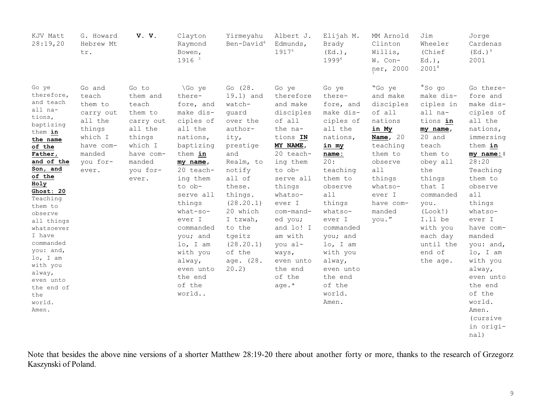| KJV Matt<br>28:19,20                                                                                                                                                                                                                                                                                                                                             | G. Howard<br>Hebrew Mt<br>tr.                                                                                       | V. V.                                                                                                                          | Clayton<br>Raymond<br>Bowen,<br>1916 3                                                                                                                                                                                                                                                                     | Yirmeyahu<br>Ben-David <sup>4</sup>                                                                                                                                                                                                                   | Albert J.<br>Edmunds,<br>19175                                                                                                                                                                                                                                                            | Elijah M.<br>Brady<br>$(Ed.)$ ,<br>19996                                                                                                                                                                                                                                                       | MM Arnold<br>Clinton<br>Willis,<br>W. Con-<br>ner, 2000                                                                                                                             | Jim<br>Wheeler<br>(Chief<br>$Ed.$ ),<br>20018                                                                                                                                                                                                           | Jorge<br>Cardenas<br>$(Ed.)^9$<br>2001                                                                                                                                                                                                                                                                                                                      |
|------------------------------------------------------------------------------------------------------------------------------------------------------------------------------------------------------------------------------------------------------------------------------------------------------------------------------------------------------------------|---------------------------------------------------------------------------------------------------------------------|--------------------------------------------------------------------------------------------------------------------------------|------------------------------------------------------------------------------------------------------------------------------------------------------------------------------------------------------------------------------------------------------------------------------------------------------------|-------------------------------------------------------------------------------------------------------------------------------------------------------------------------------------------------------------------------------------------------------|-------------------------------------------------------------------------------------------------------------------------------------------------------------------------------------------------------------------------------------------------------------------------------------------|------------------------------------------------------------------------------------------------------------------------------------------------------------------------------------------------------------------------------------------------------------------------------------------------|-------------------------------------------------------------------------------------------------------------------------------------------------------------------------------------|---------------------------------------------------------------------------------------------------------------------------------------------------------------------------------------------------------------------------------------------------------|-------------------------------------------------------------------------------------------------------------------------------------------------------------------------------------------------------------------------------------------------------------------------------------------------------------------------------------------------------------|
| Go ye<br>therefore,<br>and teach<br>all na-<br>tions,<br>baptizing<br>them in<br>the name<br>of the<br>Father,<br>and of the<br>Son, and<br>of the<br>Holy<br>Ghost: 20<br>Teaching<br>them to<br>observe<br>all things<br>whatsoever<br>I have<br>commanded<br>you: and,<br>lo, I am<br>with you<br>alway,<br>even unto<br>the end of<br>the<br>world.<br>Amen. | Go and<br>teach<br>them to<br>carry out<br>all the<br>things<br>which I<br>have com-<br>manded<br>you for-<br>ever. | Go to<br>them and<br>teach<br>them to<br>carry out<br>all the<br>things<br>which I<br>have com-<br>manded<br>you for-<br>ever. | \Go ye<br>there-<br>fore, and<br>make dis-<br>ciples of<br>all the<br>nations,<br>baptizing<br>them in<br>my name,<br>20 teach-<br>ing them<br>to ob-<br>serve all<br>things<br>$what-so-$<br>ever I<br>commanded<br>you; and<br>lo, I am<br>with you<br>alway,<br>even unto<br>the end<br>of the<br>world | Go (28.<br>19.1) and<br>watch-<br>guard<br>over the<br>author-<br>ity,<br>prestige<br>and<br>Realm, to<br>notify<br>all of<br>these.<br>things.<br>(28.20.1)<br>20 which<br>I tzwah,<br>to the<br>tgeitz<br>(28.20.1)<br>of the<br>age. (28.<br>20.2) | Go ye<br>therefore<br>and make<br>disciples<br>of all<br>the na-<br>tions IN<br>MY NAME,<br>20 teach-<br>ing them<br>to ob-<br>serve all<br>things<br>whatso-<br>ever I<br>com-mand-<br>ed you;<br>and lo! I<br>am with<br>you al-<br>ways,<br>even unto<br>the end<br>of the<br>age. $*$ | Go ye<br>there-<br>fore, and<br>make dis-<br>ciples of<br>all the<br>nations,<br>in my<br>name:<br>20:<br>teaching<br>them to<br>observe<br>all<br>things<br>whatso-<br>ever I<br>commanded<br>you; and<br>lo, I am<br>with you<br>alway,<br>even unto<br>the end<br>of the<br>world.<br>Amen. | "Go ye<br>and make<br>disciples<br>of all<br>nations<br>in My<br>Name, $20$<br>teaching<br>them to<br>observe<br>all<br>things<br>whatso-<br>ever I<br>have com-<br>manded<br>you." | $^{\circ}$ Sogo<br>make dis-<br>ciples in<br>all na-<br>tions in<br>my name,<br>20 and<br>teach<br>them to<br>obey all<br>the<br>things<br>that I<br>commanded<br>you.<br>(Look!)<br>I.ll be<br>with you<br>each day<br>until the<br>end of<br>the age. | Go there-<br>fore and<br>make dis-<br>ciples of<br>all the<br>nations,<br>immersing<br>them in<br>my $name:$ $\dagger$<br>28:20<br>Teaching<br>them to<br>observe<br>all<br>things<br>whatso-<br>ever I<br>have com-<br>manded<br>you: and,<br>lo, I am<br>with you<br>alway,<br>even unto<br>the end<br>of the<br>world.<br>Amen.<br>(cursive<br>in origi- |
|                                                                                                                                                                                                                                                                                                                                                                  |                                                                                                                     |                                                                                                                                |                                                                                                                                                                                                                                                                                                            |                                                                                                                                                                                                                                                       |                                                                                                                                                                                                                                                                                           |                                                                                                                                                                                                                                                                                                |                                                                                                                                                                                     |                                                                                                                                                                                                                                                         | nal)                                                                                                                                                                                                                                                                                                                                                        |

Note that besides the above nine versions of a shorter Matthew 28:19-20 there about another forty or more, thanks to the research of Grzegorz Kaszynski of Poland.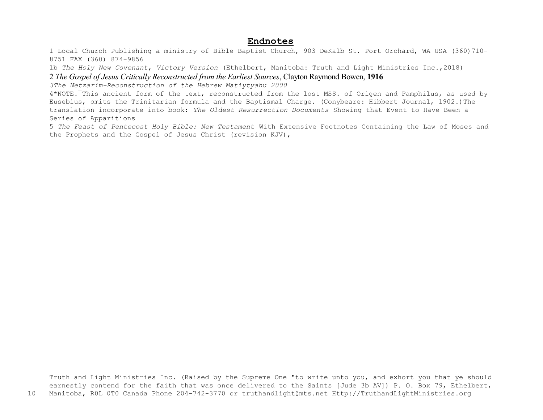## **Endnotes**

1 Local Church Publishing a ministry of Bible Baptist Church, 903 DeKalb St. Port Orchard, WA USA (360)710- 8751 FAX (360) 874-9856

1b *The Holy New Covenant*, *Victory Version* (Ethelbert, Manitoba: Truth and Light Ministries Inc.,2018)

2 *The Gospel of Jesus Critically Reconstructed from the Earliest Sources*, Clayton Raymond Bowen, **1916**

*3The Netzarim-Reconstruction of the Hebrew Matiytyahu 2000*

4\*NOTE.¯This ancient form of the text, reconstructed from the lost MSS. of Origen and Pamphilus, as used by Eusebius, omits the Trinitarian formula and the Baptismal Charge. (Conybeare: Hibbert Journal, 1902.)The translation incorporate into book: *The Oldest Resurrection Documents* Showing that Event to Have Been a Series of Apparitions

5 *The Feast of Pentecost Holy Bible: New Testament* With Extensive Footnotes Containing the Law of Moses and the Prophets and the Gospel of Jesus Christ (revision KJV),

Truth and Light Ministries Inc. (Raised by the Supreme One "to write unto you, and exhort you that ye should earnestly contend for the faith that was once delivered to the Saints [Jude 3b AV]) P. O. Box 79, Ethelbert, 10 Manitoba, R0L 0T0 Canada Phone 204-742-3770 or truthandlight@mts.net Http://TruthandLightMinistries.org